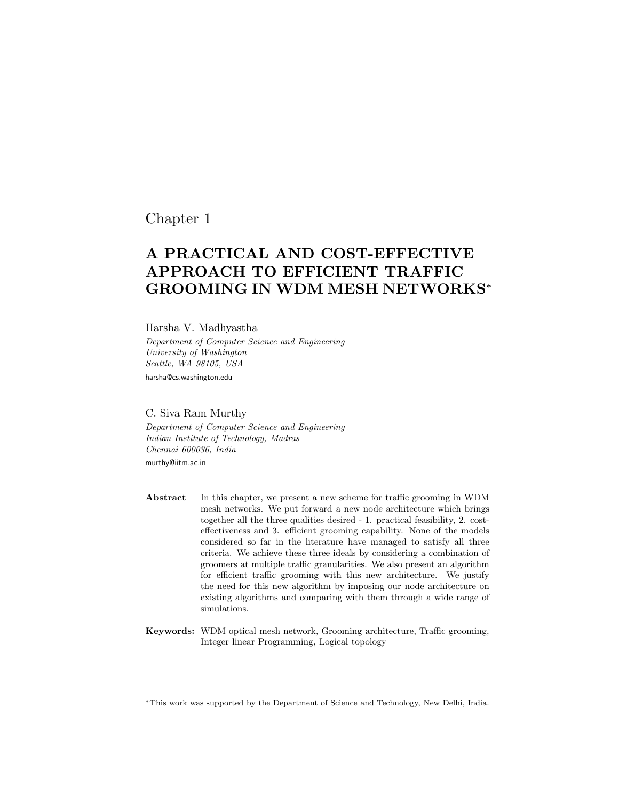Chapter 1

# A PRACTICAL AND COST-EFFECTIVE APPROACH TO EFFICIENT TRAFFIC GROOMING IN WDM MESH NETWORKS<sup>∗</sup>

Harsha V. Madhyastha

Department of Computer Science and Engineering University of Washington Seattle, WA 98105, USA

harsha@cs.washington.edu

C. Siva Ram Murthy

Department of Computer Science and Engineering Indian Institute of Technology, Madras Chennai 600036, India

murthy@iitm.ac.in

- Abstract In this chapter, we present a new scheme for traffic grooming in WDM mesh networks. We put forward a new node architecture which brings together all the three qualities desired - 1. practical feasibility, 2. costeffectiveness and 3. efficient grooming capability. None of the models considered so far in the literature have managed to satisfy all three criteria. We achieve these three ideals by considering a combination of groomers at multiple traffic granularities. We also present an algorithm for efficient traffic grooming with this new architecture. We justify the need for this new algorithm by imposing our node architecture on existing algorithms and comparing with them through a wide range of simulations.
- Keywords: WDM optical mesh network, Grooming architecture, Traffic grooming, Integer linear Programming, Logical topology

<sup>∗</sup>This work was supported by the Department of Science and Technology, New Delhi, India.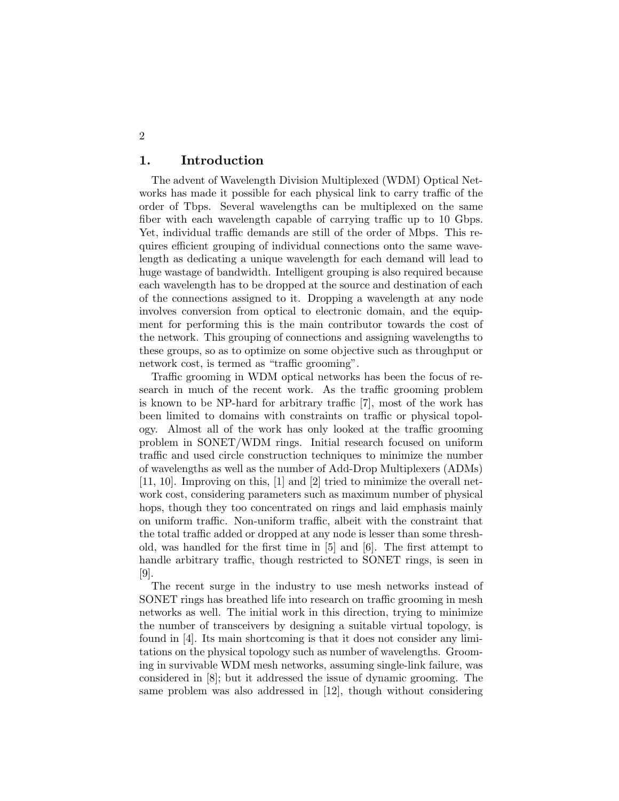#### 1. Introduction

The advent of Wavelength Division Multiplexed (WDM) Optical Networks has made it possible for each physical link to carry traffic of the order of Tbps. Several wavelengths can be multiplexed on the same fiber with each wavelength capable of carrying traffic up to 10 Gbps. Yet, individual traffic demands are still of the order of Mbps. This requires efficient grouping of individual connections onto the same wavelength as dedicating a unique wavelength for each demand will lead to huge wastage of bandwidth. Intelligent grouping is also required because each wavelength has to be dropped at the source and destination of each of the connections assigned to it. Dropping a wavelength at any node involves conversion from optical to electronic domain, and the equipment for performing this is the main contributor towards the cost of the network. This grouping of connections and assigning wavelengths to these groups, so as to optimize on some objective such as throughput or network cost, is termed as "traffic grooming".

Traffic grooming in WDM optical networks has been the focus of research in much of the recent work. As the traffic grooming problem is known to be NP-hard for arbitrary traffic [7], most of the work has been limited to domains with constraints on traffic or physical topology. Almost all of the work has only looked at the traffic grooming problem in SONET/WDM rings. Initial research focused on uniform traffic and used circle construction techniques to minimize the number of wavelengths as well as the number of Add-Drop Multiplexers (ADMs) [11, 10]. Improving on this, [1] and [2] tried to minimize the overall network cost, considering parameters such as maximum number of physical hops, though they too concentrated on rings and laid emphasis mainly on uniform traffic. Non-uniform traffic, albeit with the constraint that the total traffic added or dropped at any node is lesser than some threshold, was handled for the first time in [5] and [6]. The first attempt to handle arbitrary traffic, though restricted to SONET rings, is seen in [9].

The recent surge in the industry to use mesh networks instead of SONET rings has breathed life into research on traffic grooming in mesh networks as well. The initial work in this direction, trying to minimize the number of transceivers by designing a suitable virtual topology, is found in [4]. Its main shortcoming is that it does not consider any limitations on the physical topology such as number of wavelengths. Grooming in survivable WDM mesh networks, assuming single-link failure, was considered in [8]; but it addressed the issue of dynamic grooming. The same problem was also addressed in [12], though without considering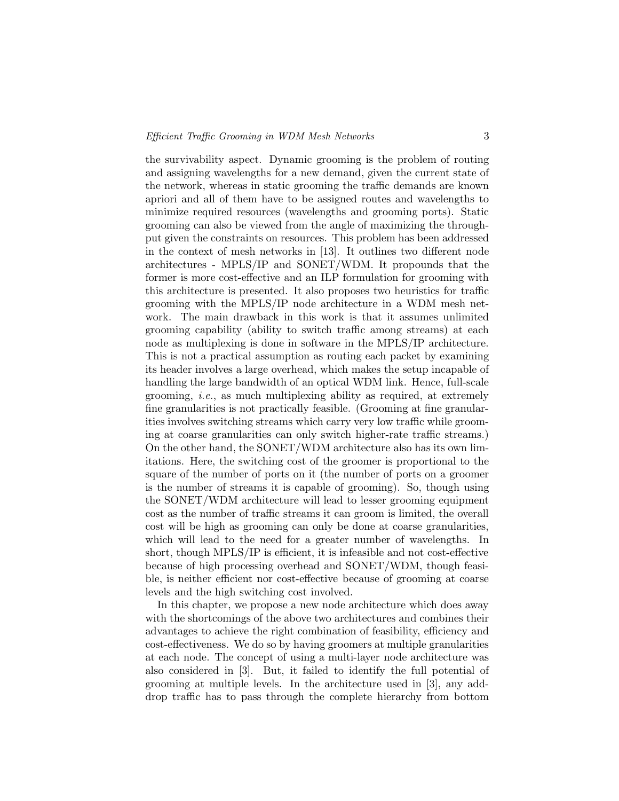the survivability aspect. Dynamic grooming is the problem of routing and assigning wavelengths for a new demand, given the current state of the network, whereas in static grooming the traffic demands are known apriori and all of them have to be assigned routes and wavelengths to minimize required resources (wavelengths and grooming ports). Static grooming can also be viewed from the angle of maximizing the throughput given the constraints on resources. This problem has been addressed in the context of mesh networks in [13]. It outlines two different node architectures - MPLS/IP and SONET/WDM. It propounds that the former is more cost-effective and an ILP formulation for grooming with this architecture is presented. It also proposes two heuristics for traffic grooming with the MPLS/IP node architecture in a WDM mesh network. The main drawback in this work is that it assumes unlimited grooming capability (ability to switch traffic among streams) at each node as multiplexing is done in software in the MPLS/IP architecture. This is not a practical assumption as routing each packet by examining its header involves a large overhead, which makes the setup incapable of handling the large bandwidth of an optical WDM link. Hence, full-scale grooming, i.e., as much multiplexing ability as required, at extremely fine granularities is not practically feasible. (Grooming at fine granularities involves switching streams which carry very low traffic while grooming at coarse granularities can only switch higher-rate traffic streams.) On the other hand, the SONET/WDM architecture also has its own limitations. Here, the switching cost of the groomer is proportional to the square of the number of ports on it (the number of ports on a groomer is the number of streams it is capable of grooming). So, though using the SONET/WDM architecture will lead to lesser grooming equipment cost as the number of traffic streams it can groom is limited, the overall cost will be high as grooming can only be done at coarse granularities, which will lead to the need for a greater number of wavelengths. In short, though MPLS/IP is efficient, it is infeasible and not cost-effective because of high processing overhead and SONET/WDM, though feasible, is neither efficient nor cost-effective because of grooming at coarse levels and the high switching cost involved.

In this chapter, we propose a new node architecture which does away with the shortcomings of the above two architectures and combines their advantages to achieve the right combination of feasibility, efficiency and cost-effectiveness. We do so by having groomers at multiple granularities at each node. The concept of using a multi-layer node architecture was also considered in [3]. But, it failed to identify the full potential of grooming at multiple levels. In the architecture used in [3], any adddrop traffic has to pass through the complete hierarchy from bottom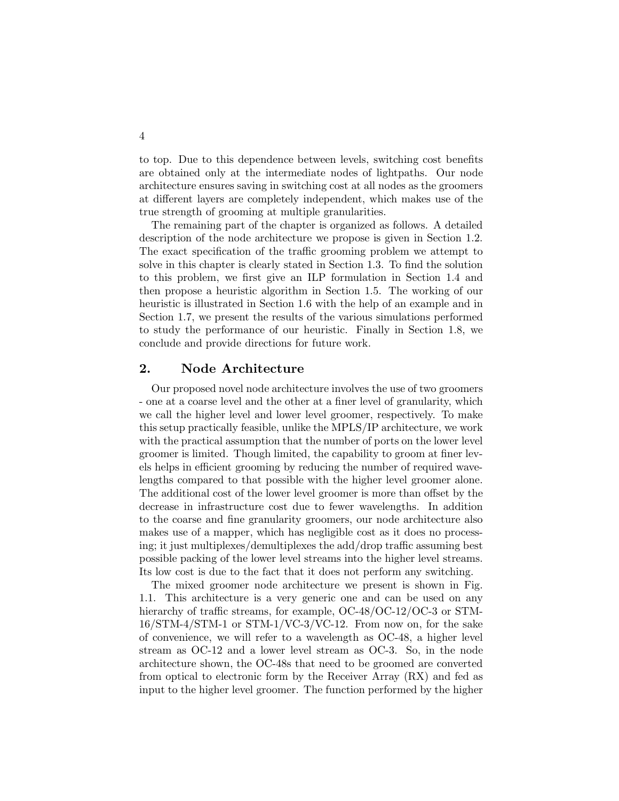to top. Due to this dependence between levels, switching cost benefits are obtained only at the intermediate nodes of lightpaths. Our node architecture ensures saving in switching cost at all nodes as the groomers at different layers are completely independent, which makes use of the true strength of grooming at multiple granularities.

The remaining part of the chapter is organized as follows. A detailed description of the node architecture we propose is given in Section 1.2. The exact specification of the traffic grooming problem we attempt to solve in this chapter is clearly stated in Section 1.3. To find the solution to this problem, we first give an ILP formulation in Section 1.4 and then propose a heuristic algorithm in Section 1.5. The working of our heuristic is illustrated in Section 1.6 with the help of an example and in Section 1.7, we present the results of the various simulations performed to study the performance of our heuristic. Finally in Section 1.8, we conclude and provide directions for future work.

### 2. Node Architecture

Our proposed novel node architecture involves the use of two groomers - one at a coarse level and the other at a finer level of granularity, which we call the higher level and lower level groomer, respectively. To make this setup practically feasible, unlike the MPLS/IP architecture, we work with the practical assumption that the number of ports on the lower level groomer is limited. Though limited, the capability to groom at finer levels helps in efficient grooming by reducing the number of required wavelengths compared to that possible with the higher level groomer alone. The additional cost of the lower level groomer is more than offset by the decrease in infrastructure cost due to fewer wavelengths. In addition to the coarse and fine granularity groomers, our node architecture also makes use of a mapper, which has negligible cost as it does no processing; it just multiplexes/demultiplexes the add/drop traffic assuming best possible packing of the lower level streams into the higher level streams. Its low cost is due to the fact that it does not perform any switching.

The mixed groomer node architecture we present is shown in Fig. 1.1. This architecture is a very generic one and can be used on any hierarchy of traffic streams, for example, OC-48/OC-12/OC-3 or STM-16/STM-4/STM-1 or STM-1/VC-3/VC-12. From now on, for the sake of convenience, we will refer to a wavelength as OC-48, a higher level stream as OC-12 and a lower level stream as OC-3. So, in the node architecture shown, the OC-48s that need to be groomed are converted from optical to electronic form by the Receiver Array (RX) and fed as input to the higher level groomer. The function performed by the higher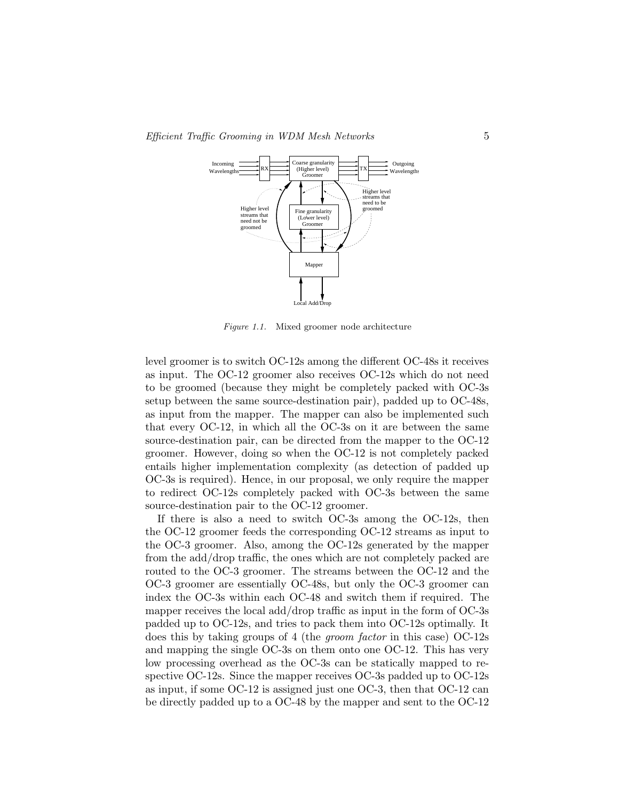

Figure 1.1. Mixed groomer node architecture

level groomer is to switch OC-12s among the different OC-48s it receives as input. The OC-12 groomer also receives OC-12s which do not need to be groomed (because they might be completely packed with OC-3s setup between the same source-destination pair), padded up to OC-48s, as input from the mapper. The mapper can also be implemented such that every OC-12, in which all the OC-3s on it are between the same source-destination pair, can be directed from the mapper to the OC-12 groomer. However, doing so when the OC-12 is not completely packed entails higher implementation complexity (as detection of padded up OC-3s is required). Hence, in our proposal, we only require the mapper to redirect OC-12s completely packed with OC-3s between the same source-destination pair to the OC-12 groomer.

If there is also a need to switch OC-3s among the OC-12s, then the OC-12 groomer feeds the corresponding OC-12 streams as input to the OC-3 groomer. Also, among the OC-12s generated by the mapper from the add/drop traffic, the ones which are not completely packed are routed to the OC-3 groomer. The streams between the OC-12 and the OC-3 groomer are essentially OC-48s, but only the OC-3 groomer can index the OC-3s within each OC-48 and switch them if required. The mapper receives the local add/drop traffic as input in the form of OC-3s padded up to OC-12s, and tries to pack them into OC-12s optimally. It does this by taking groups of 4 (the groom factor in this case) OC-12s and mapping the single OC-3s on them onto one OC-12. This has very low processing overhead as the OC-3s can be statically mapped to respective OC-12s. Since the mapper receives OC-3s padded up to OC-12s as input, if some OC-12 is assigned just one OC-3, then that OC-12 can be directly padded up to a OC-48 by the mapper and sent to the OC-12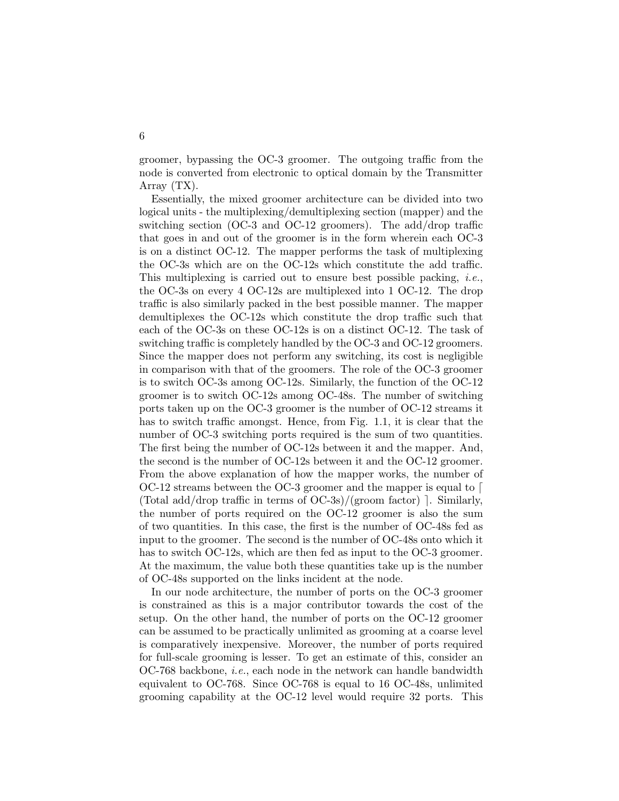groomer, bypassing the OC-3 groomer. The outgoing traffic from the node is converted from electronic to optical domain by the Transmitter Array (TX).

Essentially, the mixed groomer architecture can be divided into two logical units - the multiplexing/demultiplexing section (mapper) and the switching section (OC-3 and OC-12 groomers). The add/drop traffic that goes in and out of the groomer is in the form wherein each OC-3 is on a distinct OC-12. The mapper performs the task of multiplexing the OC-3s which are on the OC-12s which constitute the add traffic. This multiplexing is carried out to ensure best possible packing, i.e., the OC-3s on every 4 OC-12s are multiplexed into 1 OC-12. The drop traffic is also similarly packed in the best possible manner. The mapper demultiplexes the OC-12s which constitute the drop traffic such that each of the OC-3s on these OC-12s is on a distinct OC-12. The task of switching traffic is completely handled by the OC-3 and OC-12 groomers. Since the mapper does not perform any switching, its cost is negligible in comparison with that of the groomers. The role of the OC-3 groomer is to switch OC-3s among OC-12s. Similarly, the function of the OC-12 groomer is to switch OC-12s among OC-48s. The number of switching ports taken up on the OC-3 groomer is the number of OC-12 streams it has to switch traffic amongst. Hence, from Fig. 1.1, it is clear that the number of OC-3 switching ports required is the sum of two quantities. The first being the number of OC-12s between it and the mapper. And, the second is the number of OC-12s between it and the OC-12 groomer. From the above explanation of how the mapper works, the number of  $OC-12$  streams between the  $OC-3$  groomer and the mapper is equal to  $\vert$ (Total add/drop traffic in terms of OC-3s)/(groom factor) ]. Similarly, the number of ports required on the OC-12 groomer is also the sum of two quantities. In this case, the first is the number of OC-48s fed as input to the groomer. The second is the number of OC-48s onto which it has to switch OC-12s, which are then fed as input to the OC-3 groomer. At the maximum, the value both these quantities take up is the number of OC-48s supported on the links incident at the node.

In our node architecture, the number of ports on the OC-3 groomer is constrained as this is a major contributor towards the cost of the setup. On the other hand, the number of ports on the OC-12 groomer can be assumed to be practically unlimited as grooming at a coarse level is comparatively inexpensive. Moreover, the number of ports required for full-scale grooming is lesser. To get an estimate of this, consider an OC-768 backbone, i.e., each node in the network can handle bandwidth equivalent to OC-768. Since OC-768 is equal to 16 OC-48s, unlimited grooming capability at the OC-12 level would require 32 ports. This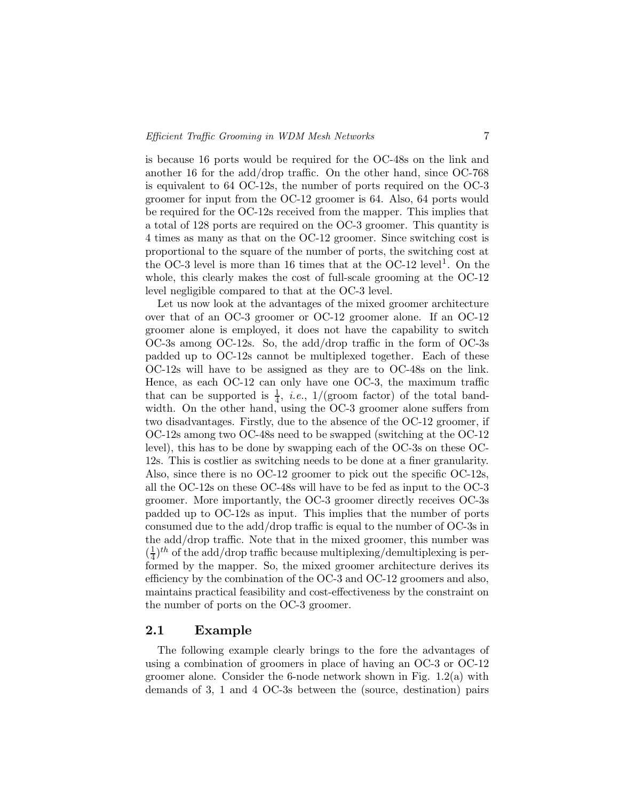is because 16 ports would be required for the OC-48s on the link and another 16 for the add/drop traffic. On the other hand, since OC-768 is equivalent to 64 OC-12s, the number of ports required on the OC-3 groomer for input from the OC-12 groomer is 64. Also, 64 ports would be required for the OC-12s received from the mapper. This implies that a total of 128 ports are required on the OC-3 groomer. This quantity is 4 times as many as that on the OC-12 groomer. Since switching cost is proportional to the square of the number of ports, the switching cost at the OC-3 level is more than 16 times that at the OC-12 level<sup>1</sup>. On the whole, this clearly makes the cost of full-scale grooming at the OC-12 level negligible compared to that at the OC-3 level.

Let us now look at the advantages of the mixed groomer architecture over that of an OC-3 groomer or OC-12 groomer alone. If an OC-12 groomer alone is employed, it does not have the capability to switch OC-3s among OC-12s. So, the add/drop traffic in the form of OC-3s padded up to OC-12s cannot be multiplexed together. Each of these OC-12s will have to be assigned as they are to OC-48s on the link. Hence, as each OC-12 can only have one OC-3, the maximum traffic that can be supported is  $\frac{1}{4}$ , *i.e.*, 1/(groom factor) of the total bandwidth. On the other hand, using the OC-3 groomer alone suffers from two disadvantages. Firstly, due to the absence of the OC-12 groomer, if OC-12s among two OC-48s need to be swapped (switching at the OC-12 level), this has to be done by swapping each of the OC-3s on these OC-12s. This is costlier as switching needs to be done at a finer granularity. Also, since there is no OC-12 groomer to pick out the specific OC-12s, all the OC-12s on these OC-48s will have to be fed as input to the OC-3 groomer. More importantly, the OC-3 groomer directly receives OC-3s padded up to OC-12s as input. This implies that the number of ports consumed due to the add/drop traffic is equal to the number of OC-3s in the add/drop traffic. Note that in the mixed groomer, this number was  $\left(\frac{1}{4}\right)$  $\frac{1}{4}$ <sup>th</sup> of the add/drop traffic because multiplexing/demultiplexing is performed by the mapper. So, the mixed groomer architecture derives its efficiency by the combination of the OC-3 and OC-12 groomers and also, maintains practical feasibility and cost-effectiveness by the constraint on the number of ports on the OC-3 groomer.

#### 2.1 Example

The following example clearly brings to the fore the advantages of using a combination of groomers in place of having an OC-3 or OC-12 groomer alone. Consider the 6-node network shown in Fig. 1.2(a) with demands of 3, 1 and 4 OC-3s between the (source, destination) pairs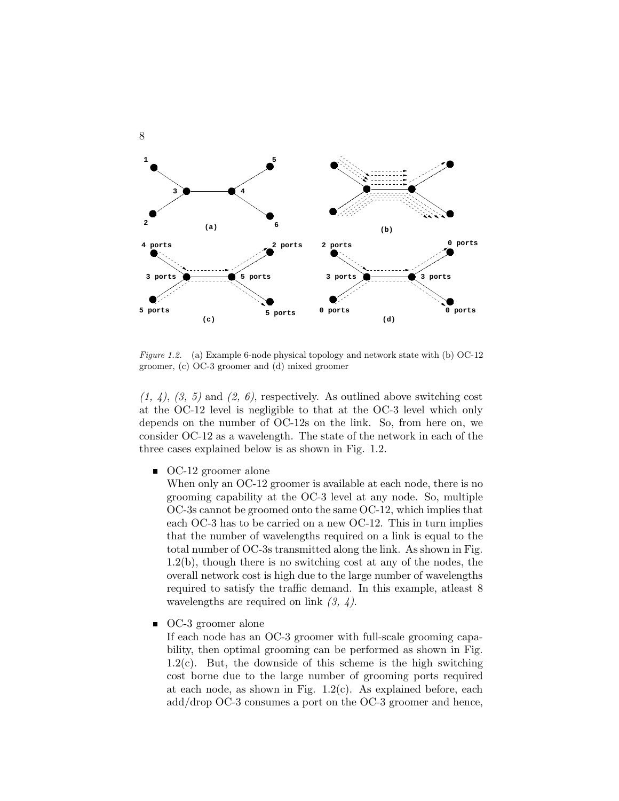

Figure 1.2. (a) Example 6-node physical topology and network state with (b)  $OC-12$ groomer, (c) OC-3 groomer and (d) mixed groomer

 $(1, 4)$ ,  $(3, 5)$  and  $(2, 6)$ , respectively. As outlined above switching cost at the OC-12 level is negligible to that at the OC-3 level which only depends on the number of OC-12s on the link. So, from here on, we consider OC-12 as a wavelength. The state of the network in each of the three cases explained below is as shown in Fig. 1.2.

■ OC-12 groomer alone

When only an OC-12 groomer is available at each node, there is no grooming capability at the OC-3 level at any node. So, multiple OC-3s cannot be groomed onto the same OC-12, which implies that each OC-3 has to be carried on a new OC-12. This in turn implies that the number of wavelengths required on a link is equal to the total number of OC-3s transmitted along the link. As shown in Fig. 1.2(b), though there is no switching cost at any of the nodes, the overall network cost is high due to the large number of wavelengths required to satisfy the traffic demand. In this example, atleast 8 wavelengths are required on link  $(3, 4)$ .

OC-3 groomer alone  $\blacksquare$ 

> If each node has an OC-3 groomer with full-scale grooming capability, then optimal grooming can be performed as shown in Fig. 1.2(c). But, the downside of this scheme is the high switching cost borne due to the large number of grooming ports required at each node, as shown in Fig.  $1.2(c)$ . As explained before, each add/drop OC-3 consumes a port on the OC-3 groomer and hence,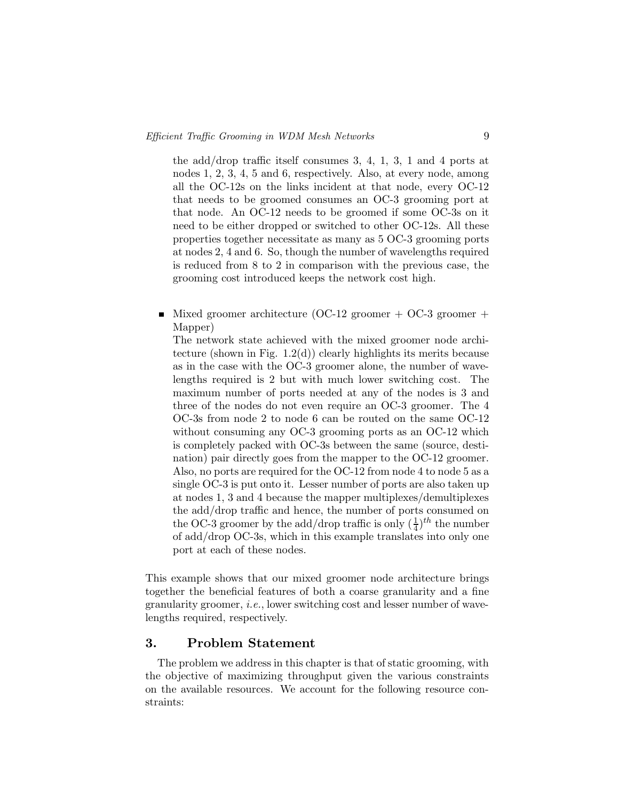the add/drop traffic itself consumes 3, 4, 1, 3, 1 and 4 ports at nodes 1, 2, 3, 4, 5 and 6, respectively. Also, at every node, among all the OC-12s on the links incident at that node, every OC-12 that needs to be groomed consumes an OC-3 grooming port at that node. An OC-12 needs to be groomed if some OC-3s on it need to be either dropped or switched to other OC-12s. All these properties together necessitate as many as 5 OC-3 grooming ports at nodes 2, 4 and 6. So, though the number of wavelengths required is reduced from 8 to 2 in comparison with the previous case, the grooming cost introduced keeps the network cost high.

 $\blacksquare$  Mixed groomer architecture (OC-12 groomer + OC-3 groomer + Mapper)

The network state achieved with the mixed groomer node architecture (shown in Fig.  $1.2(d)$ ) clearly highlights its merits because as in the case with the OC-3 groomer alone, the number of wavelengths required is 2 but with much lower switching cost. The maximum number of ports needed at any of the nodes is 3 and three of the nodes do not even require an OC-3 groomer. The 4 OC-3s from node 2 to node 6 can be routed on the same OC-12 without consuming any OC-3 grooming ports as an OC-12 which is completely packed with OC-3s between the same (source, destination) pair directly goes from the mapper to the OC-12 groomer. Also, no ports are required for the OC-12 from node 4 to node 5 as a single OC-3 is put onto it. Lesser number of ports are also taken up at nodes 1, 3 and 4 because the mapper multiplexes/demultiplexes the add/drop traffic and hence, the number of ports consumed on the OC-3 groomer by the add/drop traffic is only  $(\frac{1}{4})$  $(\frac{1}{4})^{th}$  the number of add/drop OC-3s, which in this example translates into only one port at each of these nodes.

This example shows that our mixed groomer node architecture brings together the beneficial features of both a coarse granularity and a fine granularity groomer, i.e., lower switching cost and lesser number of wavelengths required, respectively.

#### 3. Problem Statement

The problem we address in this chapter is that of static grooming, with the objective of maximizing throughput given the various constraints on the available resources. We account for the following resource constraints: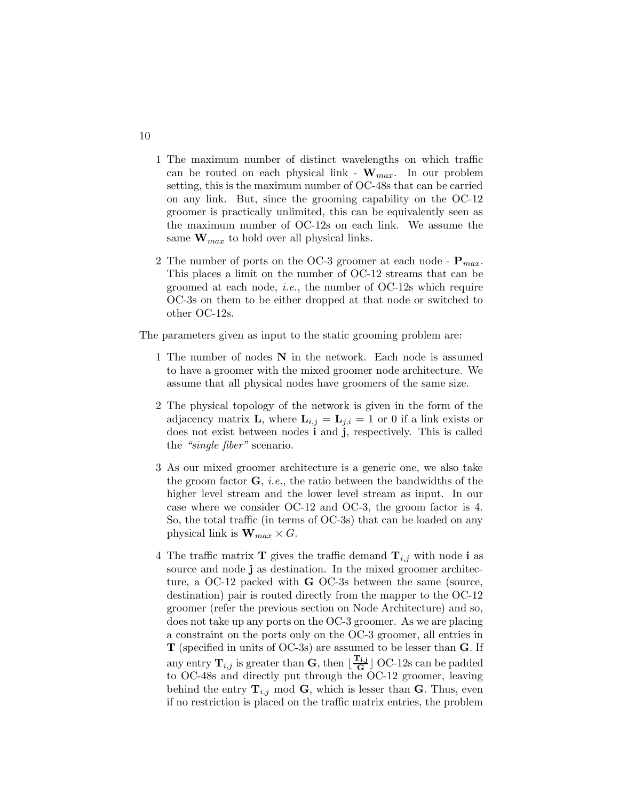- 1 The maximum number of distinct wavelengths on which traffic can be routed on each physical link -  $\mathbf{W}_{max}$ . In our problem setting, this is the maximum number of OC-48s that can be carried on any link. But, since the grooming capability on the OC-12 groomer is practically unlimited, this can be equivalently seen as the maximum number of OC-12s on each link. We assume the same  $\mathbf{W}_{max}$  to hold over all physical links.
- 2 The number of ports on the OC-3 groomer at each node  $P_{max}$ . This places a limit on the number of OC-12 streams that can be groomed at each node, i.e., the number of OC-12s which require OC-3s on them to be either dropped at that node or switched to other OC-12s.

The parameters given as input to the static grooming problem are:

- 1 The number of nodes N in the network. Each node is assumed to have a groomer with the mixed groomer node architecture. We assume that all physical nodes have groomers of the same size.
- 2 The physical topology of the network is given in the form of the adjacency matrix **L**, where  $\mathbf{L}_{i,j} = \mathbf{L}_{j,i} = 1$  or 0 if a link exists or does not exist between nodes **i** and **j**, respectively. This is called the "single fiber" scenario.
- 3 As our mixed groomer architecture is a generic one, we also take the groom factor  $\bf{G}$ , *i.e.*, the ratio between the bandwidths of the higher level stream and the lower level stream as input. In our case where we consider OC-12 and OC-3, the groom factor is 4. So, the total traffic (in terms of OC-3s) that can be loaded on any physical link is  $\mathbf{W}_{max} \times G$ .
- 4 The traffic matrix **T** gives the traffic demand  $\mathbf{T}_{i,j}$  with node i as source and node j as destination. In the mixed groomer architecture, a OC-12 packed with G OC-3s between the same (source, destination) pair is routed directly from the mapper to the OC-12 groomer (refer the previous section on Node Architecture) and so, does not take up any ports on the OC-3 groomer. As we are placing a constraint on the ports only on the OC-3 groomer, all entries in T (specified in units of OC-3s) are assumed to be lesser than G. If any entry  $\mathbf{T}_{i,j}$  is greater than  $\mathbf{G}$ , then  $\lfloor \frac{\mathbf{T}_{i,j}}{\mathbf{G}} \rfloor$  OC-12s can be padded to OC-48s and directly put through the OC-12 groomer, leaving behind the entry  $\mathbf{T}_{i,j}$  mod G, which is lesser than G. Thus, even if no restriction is placed on the traffic matrix entries, the problem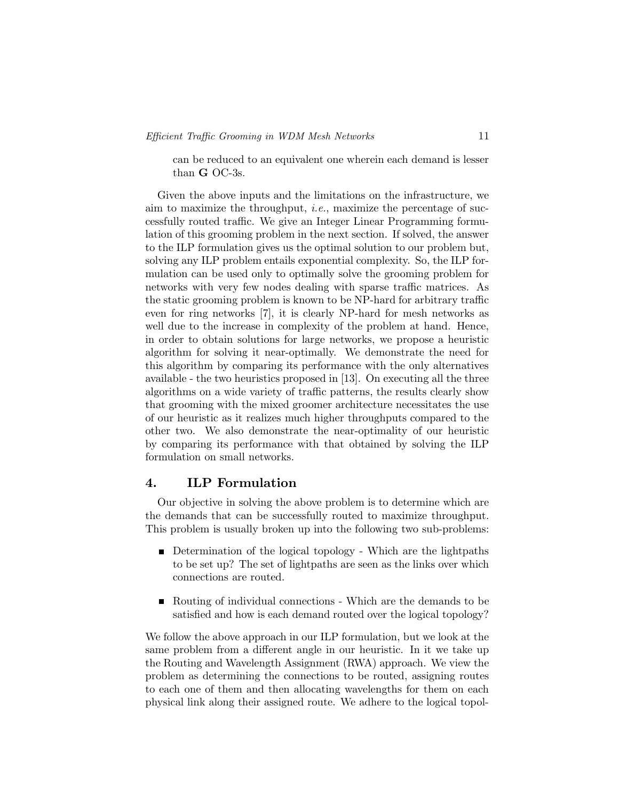can be reduced to an equivalent one wherein each demand is lesser than G OC-3s.

Given the above inputs and the limitations on the infrastructure, we aim to maximize the throughput, *i.e.*, maximize the percentage of successfully routed traffic. We give an Integer Linear Programming formulation of this grooming problem in the next section. If solved, the answer to the ILP formulation gives us the optimal solution to our problem but, solving any ILP problem entails exponential complexity. So, the ILP formulation can be used only to optimally solve the grooming problem for networks with very few nodes dealing with sparse traffic matrices. As the static grooming problem is known to be NP-hard for arbitrary traffic even for ring networks [7], it is clearly NP-hard for mesh networks as well due to the increase in complexity of the problem at hand. Hence, in order to obtain solutions for large networks, we propose a heuristic algorithm for solving it near-optimally. We demonstrate the need for this algorithm by comparing its performance with the only alternatives available - the two heuristics proposed in [13]. On executing all the three algorithms on a wide variety of traffic patterns, the results clearly show that grooming with the mixed groomer architecture necessitates the use of our heuristic as it realizes much higher throughputs compared to the other two. We also demonstrate the near-optimality of our heuristic by comparing its performance with that obtained by solving the ILP formulation on small networks.

## 4. ILP Formulation

Our objective in solving the above problem is to determine which are the demands that can be successfully routed to maximize throughput. This problem is usually broken up into the following two sub-problems:

- Determination of the logical topology Which are the lightpaths to be set up? The set of lightpaths are seen as the links over which connections are routed.
- Routing of individual connections Which are the demands to be satisfied and how is each demand routed over the logical topology?

We follow the above approach in our ILP formulation, but we look at the same problem from a different angle in our heuristic. In it we take up the Routing and Wavelength Assignment (RWA) approach. We view the problem as determining the connections to be routed, assigning routes to each one of them and then allocating wavelengths for them on each physical link along their assigned route. We adhere to the logical topol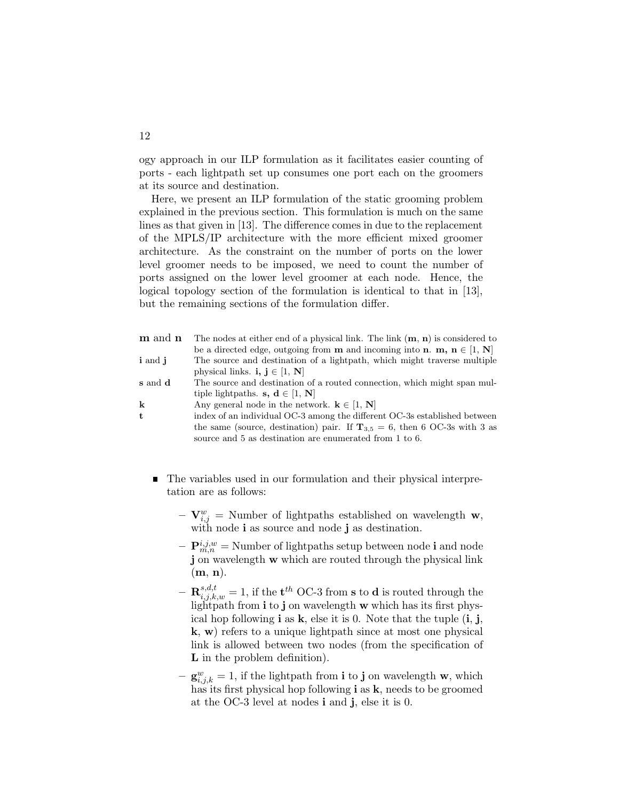ogy approach in our ILP formulation as it facilitates easier counting of ports - each lightpath set up consumes one port each on the groomers at its source and destination.

Here, we present an ILP formulation of the static grooming problem explained in the previous section. This formulation is much on the same lines as that given in [13]. The difference comes in due to the replacement of the MPLS/IP architecture with the more efficient mixed groomer architecture. As the constraint on the number of ports on the lower level groomer needs to be imposed, we need to count the number of ports assigned on the lower level groomer at each node. Hence, the logical topology section of the formulation is identical to that in [13], but the remaining sections of the formulation differ.

| The nodes at either end of a physical link. The link $(m, n)$ is considered to<br>be a directed edge, outgoing from <b>m</b> and incoming into <b>n</b> . <b>m</b> , $\mathbf{n} \in [1, N]$ |
|----------------------------------------------------------------------------------------------------------------------------------------------------------------------------------------------|
| The source and destination of a lightpath, which might traverse multiple                                                                                                                     |
| physical links. <b>i</b> , $j \in [1, N]$                                                                                                                                                    |
| The source and destination of a routed connection, which might span mul-                                                                                                                     |
| tiple lightpaths. s, $d \in [1, N]$                                                                                                                                                          |
| Any general node in the network. $\mathbf{k} \in [1, \mathbf{N}]$                                                                                                                            |
| index of an individual OC-3 among the different OC-3s established between                                                                                                                    |
| the same (source, destination) pair. If $\mathbf{T}_{3.5} = 6$ , then 6 OC-3s with 3 as                                                                                                      |
| source and 5 as destination are enumerated from 1 to 6.                                                                                                                                      |
|                                                                                                                                                                                              |

- The variables used in our formulation and their physical interpre- $\blacksquare$ tation are as follows:
	- $V_{i,j}^w$  = Number of lightpaths established on wavelength w, with node **i** as source and node **j** as destination.
	- $\mathbf{P}_{m,n}^{i,j,w}$  = Number of lightpaths setup between node i and node j on wavelength w which are routed through the physical link  $(m, n)$ .
	- $\mathbf{R}_{i,j,k,w}^{s,d,t} = 1$ , if the  $\mathbf{t}^{th}$  OC-3 from s to d is routed through the lightpath from i to j on wavelength w which has its first physical hop following **i** as **k**, else it is 0. Note that the tuple  $(i, j, j)$ k, w) refers to a unique lightpath since at most one physical link is allowed between two nodes (from the specification of L in the problem definition).
	- $-\mathbf{g}_{i,j,k}^w = 1$ , if the lightpath from **i** to **j** on wavelength **w**, which has its first physical hop following  $\mathbf{i}$  as  $\mathbf{k}$ , needs to be groomed at the OC-3 level at nodes i and j, else it is 0.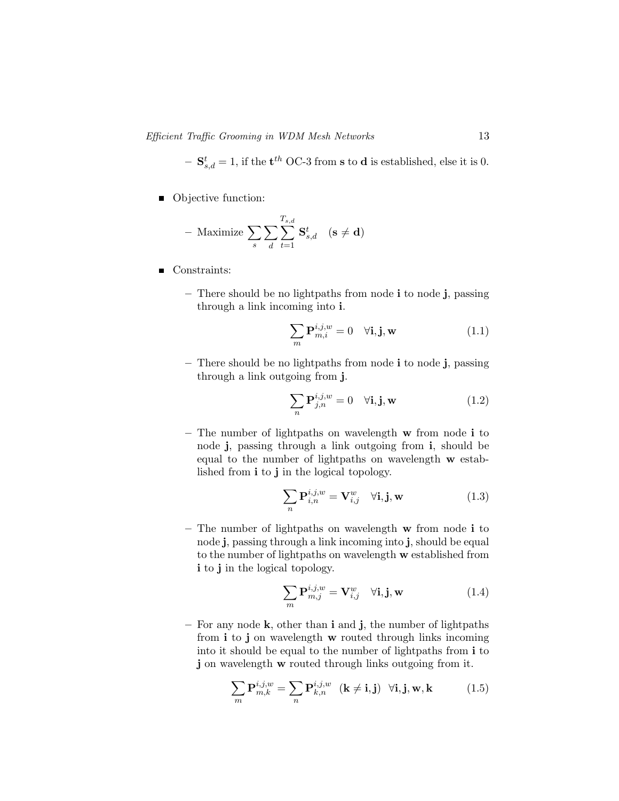Efficient Traffic Grooming in WDM Mesh Networks 13

 $\mathbf{S}_{s,d}^t = 1$ , if the  $\mathbf{t}^{th}$  OC-3 from s to **d** is established, else it is 0.

• Objective function:

- Maximize 
$$
\sum_{s} \sum_{d} \sum_{t=1}^{T_{s,d}} \mathbf{S}_{s,d}^{t}
$$
 (s  $\neq$  d)

- **Constraints:** 
	- There should be no lightpaths from node i to node j, passing through a link incoming into i.

$$
\sum_{m} \mathbf{P}_{m,i}^{i,j,w} = 0 \quad \forall \mathbf{i}, \mathbf{j}, \mathbf{w}
$$
 (1.1)

– There should be no lightpaths from node i to node j, passing through a link outgoing from j.

$$
\sum_{n} \mathbf{P}_{j,n}^{i,j,w} = 0 \quad \forall \mathbf{i}, \mathbf{j}, \mathbf{w}
$$
 (1.2)

– The number of lightpaths on wavelength w from node i to node j, passing through a link outgoing from i, should be equal to the number of lightpaths on wavelength w established from i to j in the logical topology.

$$
\sum_{n} \mathbf{P}_{i,n}^{i,j,w} = \mathbf{V}_{i,j}^w \quad \forall \mathbf{i}, \mathbf{j}, \mathbf{w}
$$
 (1.3)

– The number of lightpaths on wavelength  $w$  from node  $i$  to node j, passing through a link incoming into j, should be equal to the number of lightpaths on wavelength w established from i to j in the logical topology.

$$
\sum_{m} \mathbf{P}_{m,j}^{i,j,w} = \mathbf{V}_{i,j}^w \quad \forall \mathbf{i}, \mathbf{j}, \mathbf{w}
$$
 (1.4)

– For any node **k**, other than **i** and **j**, the number of lightpaths from i to j on wavelength w routed through links incoming into it should be equal to the number of lightpaths from i to j on wavelength **w** routed through links outgoing from it.

$$
\sum_{m} \mathbf{P}_{m,k}^{i,j,w} = \sum_{n} \mathbf{P}_{k,n}^{i,j,w} \quad (\mathbf{k} \neq \mathbf{i}, \mathbf{j}) \quad \forall \mathbf{i}, \mathbf{j}, \mathbf{w}, \mathbf{k} \tag{1.5}
$$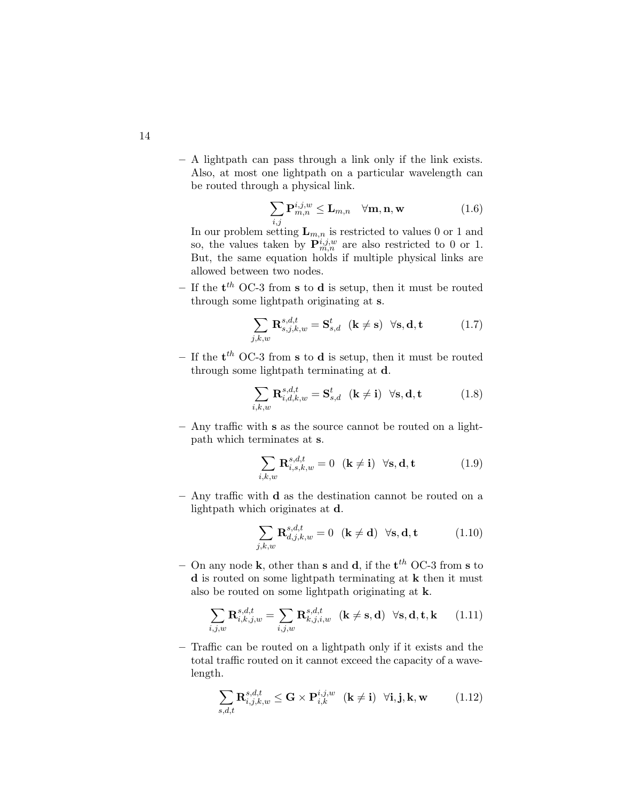– A lightpath can pass through a link only if the link exists. Also, at most one lightpath on a particular wavelength can be routed through a physical link.

$$
\sum_{i,j} \mathbf{P}_{m,n}^{i,j,w} \le \mathbf{L}_{m,n} \quad \forall \mathbf{m}, \mathbf{n}, \mathbf{w}
$$
\n(1.6)

In our problem setting  $\mathbf{L}_{m,n}$  is restricted to values 0 or 1 and so, the values taken by  $\mathbf{P}_{m,n}^{i,j,w}$  are also restricted to 0 or 1. But, the same equation holds if multiple physical links are allowed between two nodes.

– If the  $\mathbf{t}^{th}$  OC-3 from s to **d** is setup, then it must be routed through some lightpath originating at s.

$$
\sum_{j,k,w} \mathbf{R}^{s,d,t}_{s,j,k,w} = \mathbf{S}^t_{s,d} \ \ (\mathbf{k} \neq \mathbf{s}) \ \ \forall \mathbf{s}, \mathbf{d}, \mathbf{t} \tag{1.7}
$$

– If the  $\mathbf{t}^{th}$  OC-3 from s to **d** is setup, then it must be routed through some lightpath terminating at d.

$$
\sum_{i,k,w} \mathbf{R}_{i,d,k,w}^{s,d,t} = \mathbf{S}_{s,d}^t \quad (\mathbf{k} \neq \mathbf{i}) \quad \forall \mathbf{s}, \mathbf{d}, \mathbf{t} \tag{1.8}
$$

– Any traffic with s as the source cannot be routed on a lightpath which terminates at s.

$$
\sum_{i,k,w} \mathbf{R}_{i,s,k,w}^{s,d,t} = 0 \quad (\mathbf{k} \neq \mathbf{i}) \quad \forall \mathbf{s}, \mathbf{d}, \mathbf{t} \tag{1.9}
$$

– Any traffic with d as the destination cannot be routed on a lightpath which originates at d.

$$
\sum_{j,k,w} \mathbf{R}_{d,j,k,w}^{s,d,t} = 0 \quad (\mathbf{k} \neq \mathbf{d}) \quad \forall \mathbf{s}, \mathbf{d}, \mathbf{t} \tag{1.10}
$$

- On any node **k**, other than **s** and **d**, if the  $\mathbf{t}^{th}$  OC-3 from **s** to d is routed on some lightpath terminating at k then it must also be routed on some lightpath originating at k.

$$
\sum_{i,j,w} \mathbf{R}_{i,k,j,w}^{s,d,t} = \sum_{i,j,w} \mathbf{R}_{k,j,i,w}^{s,d,t} \quad (\mathbf{k} \neq \mathbf{s}, \mathbf{d}) \quad \forall \mathbf{s}, \mathbf{d}, \mathbf{t}, \mathbf{k} \tag{1.11}
$$

– Traffic can be routed on a lightpath only if it exists and the total traffic routed on it cannot exceed the capacity of a wavelength.

$$
\sum_{s,d,t} \mathbf{R}_{i,j,k,w}^{s,d,t} \leq \mathbf{G} \times \mathbf{P}_{i,k}^{i,j,w} \quad (\mathbf{k} \neq \mathbf{i}) \quad \forall \mathbf{i}, \mathbf{j}, \mathbf{k}, \mathbf{w} \tag{1.12}
$$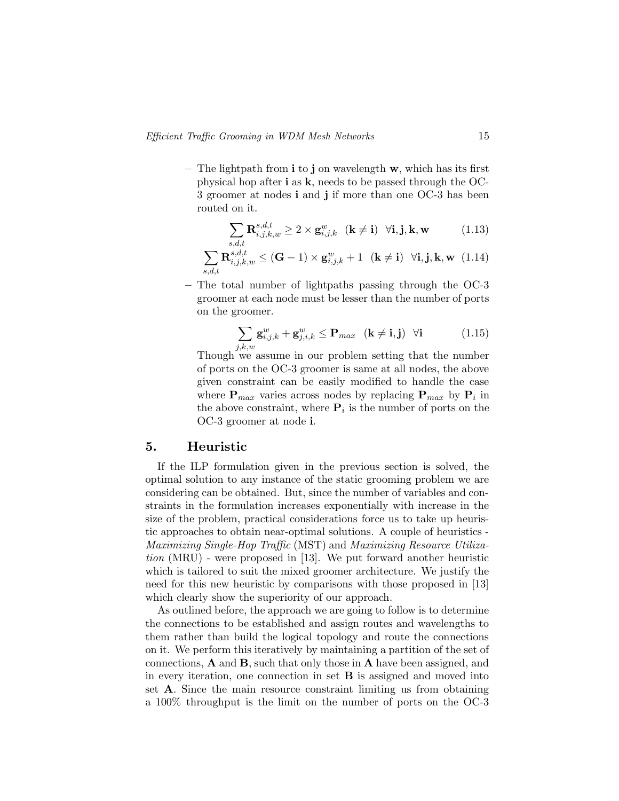– The lightpath from  $\mathbf{i}$  to  $\mathbf{j}$  on wavelength  $\mathbf{w}$ , which has its first physical hop after i as k, needs to be passed through the OC-3 groomer at nodes i and j if more than one OC-3 has been routed on it.

$$
\sum_{s,d,t} \mathbf{R}_{i,j,k,w}^{s,d,t} \ge 2 \times \mathbf{g}_{i,j,k}^w \quad (\mathbf{k} \ne \mathbf{i}) \quad \forall \mathbf{i}, \mathbf{j}, \mathbf{k}, \mathbf{w} \tag{1.13}
$$

$$
\sum_{s,d,t} \mathbf{R}_{i,j,k,w}^{s,d,t} \leq (\mathbf{G} - 1) \times \mathbf{g}_{i,j,k}^w + 1 \ (\mathbf{k} \neq \mathbf{i}) \ \forall \mathbf{i}, \mathbf{j}, \mathbf{k}, \mathbf{w} \ (1.14)
$$

– The total number of lightpaths passing through the OC-3 groomer at each node must be lesser than the number of ports on the groomer.

$$
\sum_{i,k,w} \mathbf{g}_{i,j,k}^w + \mathbf{g}_{j,i,k}^w \le \mathbf{P}_{max} \ (\mathbf{k} \ne \mathbf{i}, \mathbf{j}) \ \forall \mathbf{i} \tag{1.15}
$$

 $j,k,w$ <br>Though we assume in our problem setting that the number of ports on the OC-3 groomer is same at all nodes, the above given constraint can be easily modified to handle the case where  $P_{max}$  varies across nodes by replacing  $P_{max}$  by  $P_i$  in the above constraint, where  $P_i$  is the number of ports on the OC-3 groomer at node i.

#### 5. Heuristic

If the ILP formulation given in the previous section is solved, the optimal solution to any instance of the static grooming problem we are considering can be obtained. But, since the number of variables and constraints in the formulation increases exponentially with increase in the size of the problem, practical considerations force us to take up heuristic approaches to obtain near-optimal solutions. A couple of heuristics - Maximizing Single-Hop Traffic (MST) and Maximizing Resource Utilization (MRU) - were proposed in [13]. We put forward another heuristic which is tailored to suit the mixed groomer architecture. We justify the need for this new heuristic by comparisons with those proposed in [13] which clearly show the superiority of our approach.

As outlined before, the approach we are going to follow is to determine the connections to be established and assign routes and wavelengths to them rather than build the logical topology and route the connections on it. We perform this iteratively by maintaining a partition of the set of connections, A and B, such that only those in A have been assigned, and in every iteration, one connection in set  $\bf{B}$  is assigned and moved into set A. Since the main resource constraint limiting us from obtaining a 100% throughput is the limit on the number of ports on the OC-3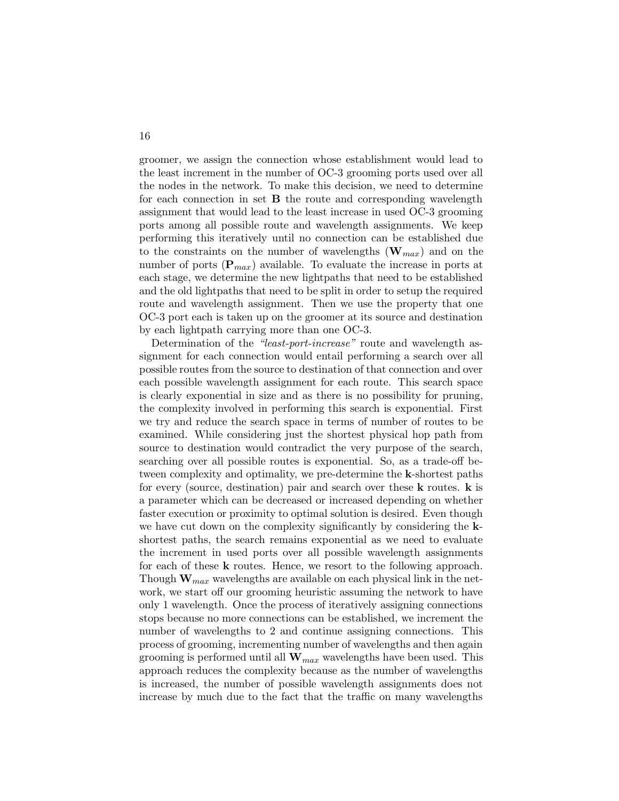groomer, we assign the connection whose establishment would lead to the least increment in the number of OC-3 grooming ports used over all the nodes in the network. To make this decision, we need to determine for each connection in set  $\bf{B}$  the route and corresponding wavelength assignment that would lead to the least increase in used OC-3 grooming ports among all possible route and wavelength assignments. We keep performing this iteratively until no connection can be established due to the constraints on the number of wavelengths  $(\mathbf{W}_{max})$  and on the number of ports  $(\mathbf{P}_{max})$  available. To evaluate the increase in ports at each stage, we determine the new lightpaths that need to be established and the old lightpaths that need to be split in order to setup the required route and wavelength assignment. Then we use the property that one OC-3 port each is taken up on the groomer at its source and destination by each lightpath carrying more than one OC-3.

Determination of the "least-port-increase" route and wavelength assignment for each connection would entail performing a search over all possible routes from the source to destination of that connection and over each possible wavelength assignment for each route. This search space is clearly exponential in size and as there is no possibility for pruning, the complexity involved in performing this search is exponential. First we try and reduce the search space in terms of number of routes to be examined. While considering just the shortest physical hop path from source to destination would contradict the very purpose of the search, searching over all possible routes is exponential. So, as a trade-off between complexity and optimality, we pre-determine the k-shortest paths for every (source, destination) pair and search over these  $\bf{k}$  routes.  $\bf{k}$  is a parameter which can be decreased or increased depending on whether faster execution or proximity to optimal solution is desired. Even though we have cut down on the complexity significantly by considering the kshortest paths, the search remains exponential as we need to evaluate the increment in used ports over all possible wavelength assignments for each of these k routes. Hence, we resort to the following approach. Though  $\mathbf{W}_{max}$  wavelengths are available on each physical link in the network, we start off our grooming heuristic assuming the network to have only 1 wavelength. Once the process of iteratively assigning connections stops because no more connections can be established, we increment the number of wavelengths to 2 and continue assigning connections. This process of grooming, incrementing number of wavelengths and then again grooming is performed until all  $\mathbf{W}_{max}$  wavelengths have been used. This approach reduces the complexity because as the number of wavelengths is increased, the number of possible wavelength assignments does not increase by much due to the fact that the traffic on many wavelengths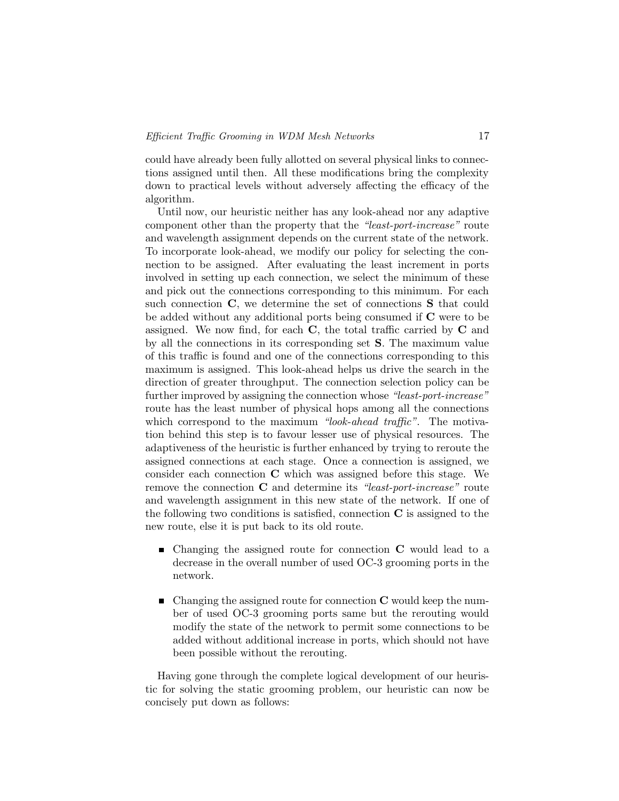could have already been fully allotted on several physical links to connections assigned until then. All these modifications bring the complexity down to practical levels without adversely affecting the efficacy of the algorithm.

Until now, our heuristic neither has any look-ahead nor any adaptive component other than the property that the "least-port-increase" route and wavelength assignment depends on the current state of the network. To incorporate look-ahead, we modify our policy for selecting the connection to be assigned. After evaluating the least increment in ports involved in setting up each connection, we select the minimum of these and pick out the connections corresponding to this minimum. For each such connection C, we determine the set of connections S that could be added without any additional ports being consumed if C were to be assigned. We now find, for each  $C$ , the total traffic carried by  $C$  and by all the connections in its corresponding set S. The maximum value of this traffic is found and one of the connections corresponding to this maximum is assigned. This look-ahead helps us drive the search in the direction of greater throughput. The connection selection policy can be further improved by assigning the connection whose "least-port-increase" route has the least number of physical hops among all the connections which correspond to the maximum "look-ahead traffic". The motivation behind this step is to favour lesser use of physical resources. The adaptiveness of the heuristic is further enhanced by trying to reroute the assigned connections at each stage. Once a connection is assigned, we consider each connection C which was assigned before this stage. We remove the connection  $C$  and determine its "least-port-increase" route and wavelength assignment in this new state of the network. If one of the following two conditions is satisfied, connection  $C$  is assigned to the new route, else it is put back to its old route.

- Changing the assigned route for connection **C** would lead to a decrease in the overall number of used OC-3 grooming ports in the network.
- Changing the assigned route for connection  $C$  would keep the number of used OC-3 grooming ports same but the rerouting would modify the state of the network to permit some connections to be added without additional increase in ports, which should not have been possible without the rerouting.

Having gone through the complete logical development of our heuristic for solving the static grooming problem, our heuristic can now be concisely put down as follows: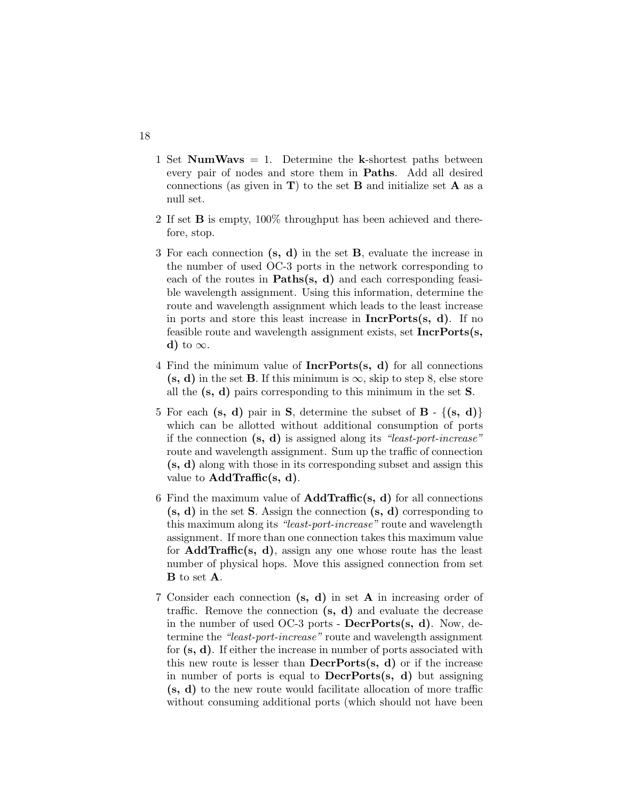- 1 Set NumWavs  $= 1$ . Determine the k-shortest paths between every pair of nodes and store them in **Paths**. Add all desired connections (as given in  $T$ ) to the set **B** and initialize set **A** as a null set.
- 2 If set B is empty, 100% throughput has been achieved and therefore, stop.
- 3 For each connection (s, d) in the set B, evaluate the increase in the number of used OC-3 ports in the network corresponding to each of the routes in  $Paths(s, d)$  and each corresponding feasible wavelength assignment. Using this information, determine the route and wavelength assignment which leads to the least increase in ports and store this least increase in  $IncrPorts(s, d)$ . If no feasible route and wavelength assignment exists, set IncrPorts(s, d) to  $\infty$ .
- 4 Find the minimum value of  $IncrPorts(s, d)$  for all connections  $(s, d)$  in the set **B**. If this minimum is  $\infty$ , skip to step 8, else store all the  $(s, d)$  pairs corresponding to this minimum in the set  $S$ .
- 5 For each  $(s, d)$  pair in S, determine the subset of B  $\{(s, d)\}\$ which can be allotted without additional consumption of ports if the connection  $(s, d)$  is assigned along its "least-port-increase" route and wavelength assignment. Sum up the traffic of connection (s, d) along with those in its corresponding subset and assign this value to  $\text{AddTraffic}(s, d)$ .
- 6 Find the maximum value of  $AddTraffic(s, d)$  for all connections (s, d) in the set S. Assign the connection (s, d) corresponding to this maximum along its "least-port-increase" route and wavelength assignment. If more than one connection takes this maximum value for  $AddTraffic(s, d)$ , assign any one whose route has the least number of physical hops. Move this assigned connection from set B to set A.
- 7 Consider each connection (s, d) in set A in increasing order of traffic. Remove the connection  $(s, d)$  and evaluate the decrease in the number of used OC-3 ports - DecrPorts(s, d). Now, determine the "least-port-increase" route and wavelength assignment for  $(s, d)$ . If either the increase in number of ports associated with this new route is lesser than  $\text{DecrPorts}(s, d)$  or if the increase in number of ports is equal to  $\text{DecrPorts}(s, d)$  but assigning (s, d) to the new route would facilitate allocation of more traffic without consuming additional ports (which should not have been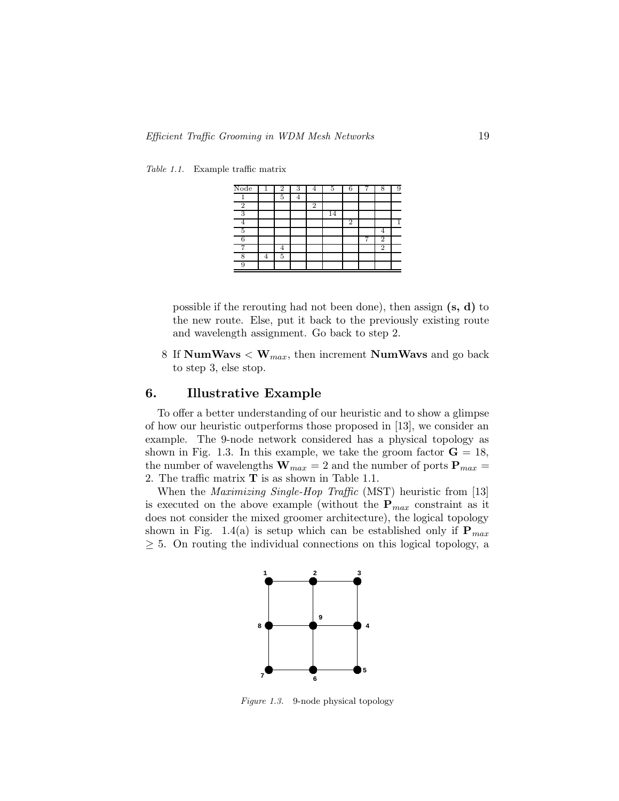Table 1.1. Example traffic matrix

| Node           | 1 | $\overline{2}$ | 3 | 4                | 5  | 6                | 8              | 9 |
|----------------|---|----------------|---|------------------|----|------------------|----------------|---|
|                |   | 5              |   |                  |    |                  |                |   |
| $\overline{2}$ |   |                |   | $\boldsymbol{2}$ |    |                  |                |   |
| 3              |   |                |   |                  | 14 |                  |                |   |
| 4              |   |                |   |                  |    | $\boldsymbol{2}$ |                | 1 |
| 5              |   |                |   |                  |    |                  |                |   |
| 6              |   |                |   |                  |    |                  | $\overline{2}$ |   |
|                |   | 4              |   |                  |    |                  | $\overline{2}$ |   |
| 8              | 4 | 5              |   |                  |    |                  |                |   |
| 9              |   |                |   |                  |    |                  |                |   |
|                |   |                |   |                  |    |                  |                |   |

possible if the rerouting had not been done), then assign  $(s, d)$  to the new route. Else, put it back to the previously existing route and wavelength assignment. Go back to step 2.

8 If NumWavs  $\langle W_{max}$ , then increment NumWavs and go back to step 3, else stop.

### 6. Illustrative Example

To offer a better understanding of our heuristic and to show a glimpse of how our heuristic outperforms those proposed in [13], we consider an example. The 9-node network considered has a physical topology as shown in Fig. 1.3. In this example, we take the groom factor  $G = 18$ , the number of wavelengths  $\mathbf{W}_{max} = 2$  and the number of ports  $\mathbf{P}_{max} =$ 2. The traffic matrix T is as shown in Table 1.1.

When the *Maximizing Single-Hop Traffic* (MST) heuristic from [13] is executed on the above example (without the  $P_{max}$  constraint as it does not consider the mixed groomer architecture), the logical topology shown in Fig. 1.4(a) is setup which can be established only if  $P_{max}$  $\geq$  5. On routing the individual connections on this logical topology, a



Figure 1.3. 9-node physical topology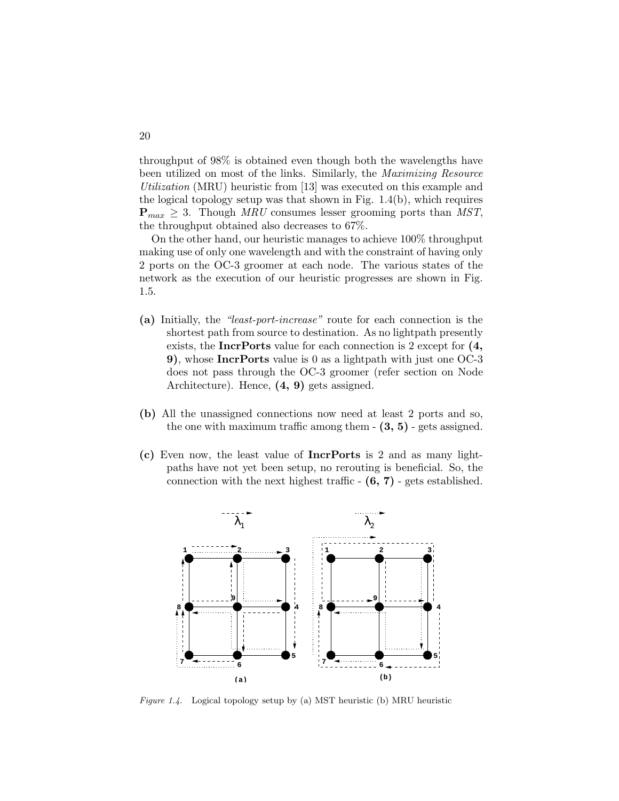throughput of 98% is obtained even though both the wavelengths have been utilized on most of the links. Similarly, the Maximizing Resource Utilization (MRU) heuristic from [13] was executed on this example and the logical topology setup was that shown in Fig. 1.4(b), which requires  $P_{max} \geq 3$ . Though MRU consumes lesser grooming ports than MST, the throughput obtained also decreases to 67%.

On the other hand, our heuristic manages to achieve 100% throughput making use of only one wavelength and with the constraint of having only 2 ports on the OC-3 groomer at each node. The various states of the network as the execution of our heuristic progresses are shown in Fig. 1.5.

- (a) Initially, the "least-port-increase" route for each connection is the shortest path from source to destination. As no lightpath presently exists, the IncrPorts value for each connection is 2 except for (4, 9), whose IncrPorts value is 0 as a lightpath with just one OC-3 does not pass through the OC-3 groomer (refer section on Node Architecture). Hence, (4, 9) gets assigned.
- (b) All the unassigned connections now need at least 2 ports and so, the one with maximum traffic among them  $(3, 5)$  - gets assigned.
- (c) Even now, the least value of IncrPorts is 2 and as many lightpaths have not yet been setup, no rerouting is beneficial. So, the connection with the next highest traffic  $-$  (6, 7)  $-$  gets established.



Figure 1.4. Logical topology setup by (a) MST heuristic (b) MRU heuristic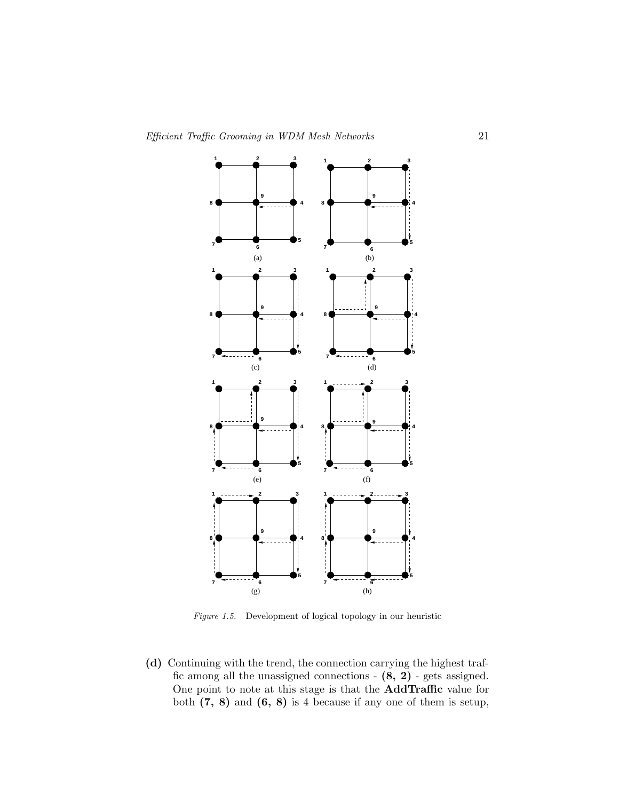Efficient Traffic Grooming in WDM Mesh Networks 21



Figure 1.5. Development of logical topology in our heuristic

(d) Continuing with the trend, the connection carrying the highest traffic among all the unassigned connections - (8, 2) - gets assigned. One point to note at this stage is that the AddTraffic value for both  $(7, 8)$  and  $(6, 8)$  is 4 because if any one of them is setup,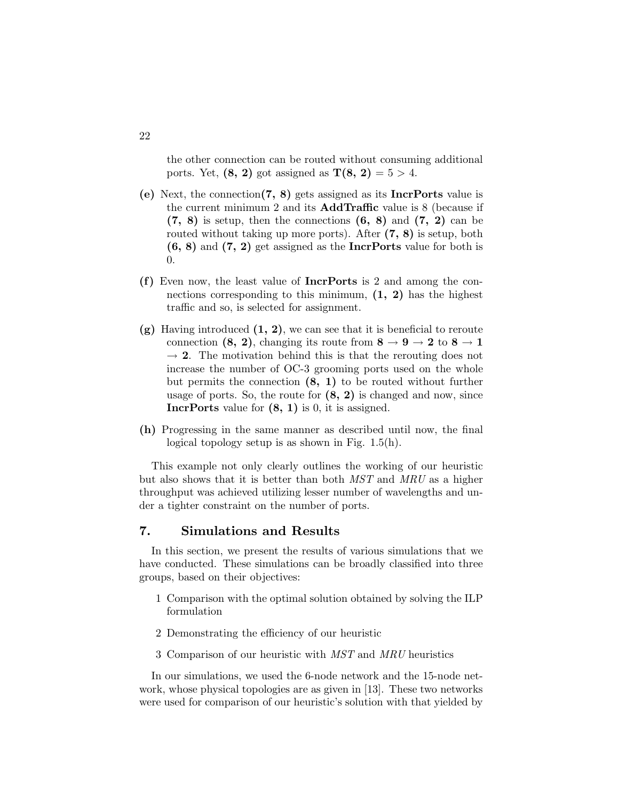the other connection can be routed without consuming additional ports. Yet,  $(8, 2)$  got assigned as  $T(8, 2) = 5 > 4$ .

- (e) Next, the connection(7, 8) gets assigned as its IncrPorts value is the current minimum 2 and its AddTraffic value is 8 (because if  $(7, 8)$  is setup, then the connections  $(6, 8)$  and  $(7, 2)$  can be routed without taking up more ports). After  $(7, 8)$  is setup, both (6, 8) and (7, 2) get assigned as the IncrPorts value for both is 0.
- (f) Even now, the least value of IncrPorts is 2 and among the connections corresponding to this minimum,  $(1, 2)$  has the highest traffic and so, is selected for assignment.
- $(g)$  Having introduced  $(1, 2)$ , we can see that it is beneficial to reroute connection (8, 2), changing its route from  $8 \rightarrow 9 \rightarrow 2$  to  $8 \rightarrow 1$  $\rightarrow$  2. The motivation behind this is that the rerouting does not increase the number of OC-3 grooming ports used on the whole but permits the connection  $(8, 1)$  to be routed without further usage of ports. So, the route for  $(8, 2)$  is changed and now, since **IncrPorts** value for  $(8, 1)$  is 0, it is assigned.
- (h) Progressing in the same manner as described until now, the final logical topology setup is as shown in Fig. 1.5(h).

This example not only clearly outlines the working of our heuristic but also shows that it is better than both MST and MRU as a higher throughput was achieved utilizing lesser number of wavelengths and under a tighter constraint on the number of ports.

#### 7. Simulations and Results

In this section, we present the results of various simulations that we have conducted. These simulations can be broadly classified into three groups, based on their objectives:

- 1 Comparison with the optimal solution obtained by solving the ILP formulation
- 2 Demonstrating the efficiency of our heuristic
- 3 Comparison of our heuristic with MST and MRU heuristics

In our simulations, we used the 6-node network and the 15-node network, whose physical topologies are as given in [13]. These two networks were used for comparison of our heuristic's solution with that yielded by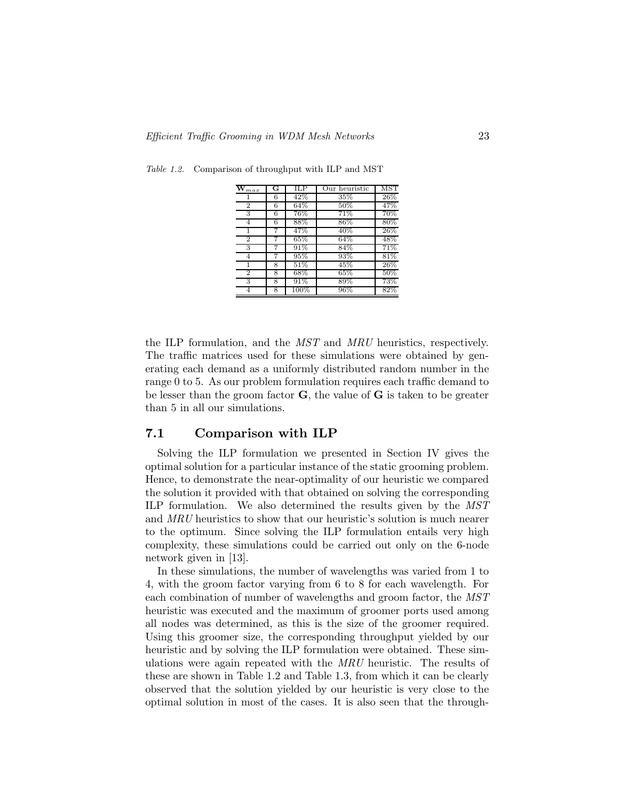| $\overline{\mathbf{W}}_{max}$ | G | ILP     | Our heuristic | MST |
|-------------------------------|---|---------|---------------|-----|
| 1                             | 6 | 42%     | 35%           | 26% |
| $\overline{2}$                | 6 | 64%     | 50%           | 47% |
| 3                             | 6 | 76%     | 71%           | 70% |
| $\overline{4}$                | 6 | 88%     | 86%           | 80% |
| 1                             |   | 47%     | 40%           | 26% |
| $\overline{2}$                |   | 65%     | 64%           | 48% |
| 3                             |   | 91%     | 84%           | 71% |
| $\overline{4}$                |   | 95%     | 93%           | 81% |
| 1                             | 8 | 51%     | 45%           | 26% |
| $\overline{2}$                | 8 | 68%     | 65%           | 50% |
| 3                             | 8 | 91%     | 89%           | 73% |
| 4                             | 8 | $100\%$ | 96%           | 82% |

Table 1.2. Comparison of throughput with ILP and MST

the ILP formulation, and the MST and MRU heuristics, respectively. The traffic matrices used for these simulations were obtained by generating each demand as a uniformly distributed random number in the range 0 to 5. As our problem formulation requires each traffic demand to be lesser than the groom factor  $\bf{G}$ , the value of  $\bf{G}$  is taken to be greater than 5 in all our simulations.

# 7.1 Comparison with ILP

Solving the ILP formulation we presented in Section IV gives the optimal solution for a particular instance of the static grooming problem. Hence, to demonstrate the near-optimality of our heuristic we compared the solution it provided with that obtained on solving the corresponding ILP formulation. We also determined the results given by the MST and MRU heuristics to show that our heuristic's solution is much nearer to the optimum. Since solving the ILP formulation entails very high complexity, these simulations could be carried out only on the 6-node network given in [13].

In these simulations, the number of wavelengths was varied from 1 to 4, with the groom factor varying from 6 to 8 for each wavelength. For each combination of number of wavelengths and groom factor, the MST heuristic was executed and the maximum of groomer ports used among all nodes was determined, as this is the size of the groomer required. Using this groomer size, the corresponding throughput yielded by our heuristic and by solving the ILP formulation were obtained. These simulations were again repeated with the MRU heuristic. The results of these are shown in Table 1.2 and Table 1.3, from which it can be clearly observed that the solution yielded by our heuristic is very close to the optimal solution in most of the cases. It is also seen that the through-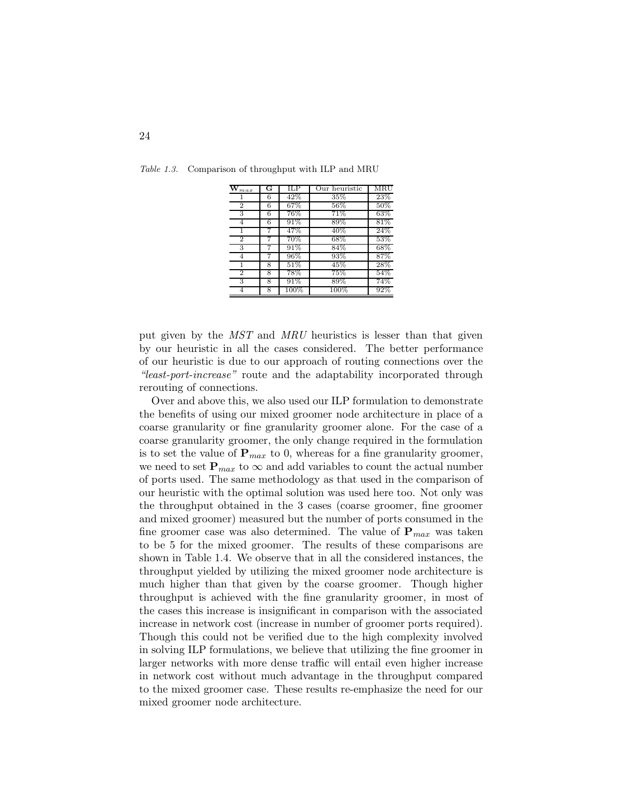| $\mathbf{\bar{W}}_{max}$<br>G<br>$\Pi$ . $P$<br>Our heuristic<br>$35\%$<br>42%<br>6<br>1 | MRU<br>23%<br>50% |
|------------------------------------------------------------------------------------------|-------------------|
|                                                                                          |                   |
|                                                                                          |                   |
| 67%<br>$56\%$<br>$\overline{2}$<br>6                                                     |                   |
| 71%<br>76%<br>3<br>6                                                                     | $63\%$            |
| 91%<br>89%<br>6<br>$\overline{4}$                                                        | 81%               |
| 47%<br>40%<br>1                                                                          | 24%               |
| 70%<br>68%<br>$\overline{2}$                                                             | 53%               |
| 91%<br>84%<br>3<br>7                                                                     | 68%               |
| 93%<br>96%<br>4<br>7                                                                     | 87%               |
| 51%<br>45%<br>8<br>1                                                                     | 28%               |
| 78%<br>75%<br>$\overline{2}$<br>8                                                        | 54%               |
| 91%<br>$89\%$<br>3<br>8                                                                  | 74%               |
| $100\%$<br>$100\%$<br>8<br>4                                                             | 92%               |

Table 1.3. Comparison of throughput with ILP and MRU

put given by the MST and MRU heuristics is lesser than that given by our heuristic in all the cases considered. The better performance of our heuristic is due to our approach of routing connections over the "least-port-increase" route and the adaptability incorporated through rerouting of connections.

Over and above this, we also used our ILP formulation to demonstrate the benefits of using our mixed groomer node architecture in place of a coarse granularity or fine granularity groomer alone. For the case of a coarse granularity groomer, the only change required in the formulation is to set the value of  $P_{max}$  to 0, whereas for a fine granularity groomer, we need to set  $\mathbf{P}_{max}$  to  $\infty$  and add variables to count the actual number of ports used. The same methodology as that used in the comparison of our heuristic with the optimal solution was used here too. Not only was the throughput obtained in the 3 cases (coarse groomer, fine groomer and mixed groomer) measured but the number of ports consumed in the fine groomer case was also determined. The value of  $P_{max}$  was taken to be 5 for the mixed groomer. The results of these comparisons are shown in Table 1.4. We observe that in all the considered instances, the throughput yielded by utilizing the mixed groomer node architecture is much higher than that given by the coarse groomer. Though higher throughput is achieved with the fine granularity groomer, in most of the cases this increase is insignificant in comparison with the associated increase in network cost (increase in number of groomer ports required). Though this could not be verified due to the high complexity involved in solving ILP formulations, we believe that utilizing the fine groomer in larger networks with more dense traffic will entail even higher increase in network cost without much advantage in the throughput compared to the mixed groomer case. These results re-emphasize the need for our mixed groomer node architecture.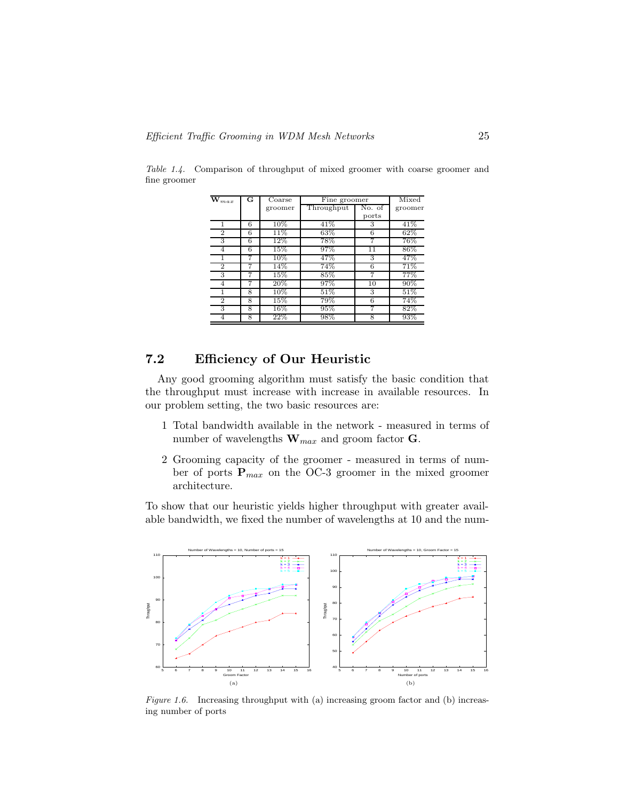Table 1.4. Comparison of throughput of mixed groomer with coarse groomer and fine groomer

| $\overline{\mathbf{W}}_{max}$ | G | $\overline{\mathrm{Coarse}}$ | Fine groomer | Mixed  |         |
|-------------------------------|---|------------------------------|--------------|--------|---------|
|                               |   | groomer                      | Throughput   | No. of | groomer |
|                               |   |                              |              | ports  |         |
|                               | 6 | $10\%$                       | 41%          | 3      | 41%     |
| $\overline{2}$                | 6 | 11%                          | 63%          | 6      | 62%     |
| 3                             | 6 | 12%                          | 78%          | 7      | 76%     |
| $\overline{4}$                | 6 | $15\%$                       | 97%          | 11     | $86\%$  |
| 1                             | 7 | 10%                          | 47%          | 3      | 47%     |
| $\overline{2}$                |   | 14%                          | 74%          | 6      | 71%     |
| 3                             | 7 | $15\%$                       | 85%          | 7      | 77%     |
| $\overline{4}$                |   | 20%                          | 97%          | 10     | 90%     |
| 1                             | 8 | 10%                          | 51%          | 3      | 51%     |
| $\overline{2}$                | 8 | 15%                          | 79%          | 6      | 74%     |
| 3                             | 8 | $16\%$                       | 95%          |        | 82%     |
| $\overline{4}$                | 8 | $22\%$                       | 98%          | 8      | 93%     |

## 7.2 Efficiency of Our Heuristic

Any good grooming algorithm must satisfy the basic condition that the throughput must increase with increase in available resources. In our problem setting, the two basic resources are:

- 1 Total bandwidth available in the network measured in terms of number of wavelengths  $\mathbf{W}_{max}$  and groom factor **G**.
- 2 Grooming capacity of the groomer measured in terms of number of ports  $\mathbf{P}_{max}$  on the OC-3 groomer in the mixed groomer architecture.

To show that our heuristic yields higher throughput with greater available bandwidth, we fixed the number of wavelengths at 10 and the num-



Figure 1.6. Increasing throughput with (a) increasing groom factor and (b) increasing number of ports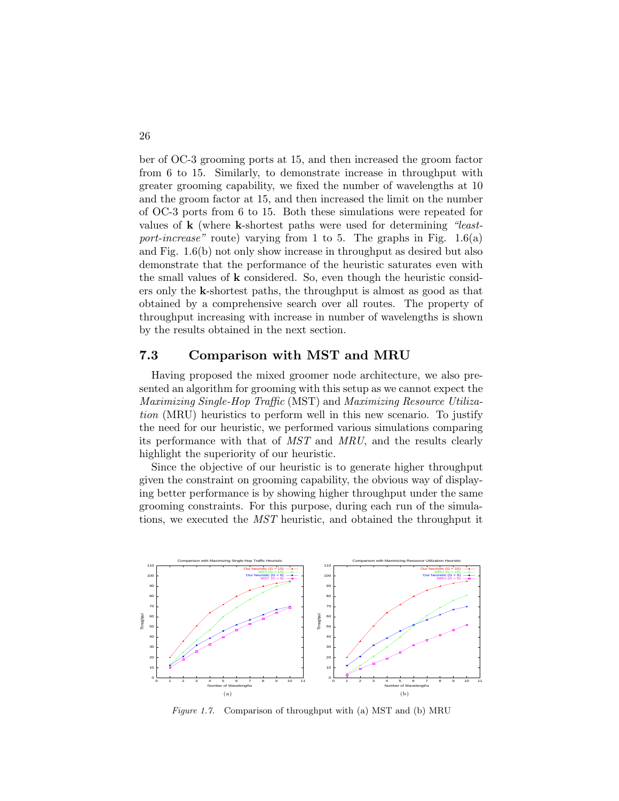ber of OC-3 grooming ports at 15, and then increased the groom factor from 6 to 15. Similarly, to demonstrate increase in throughput with greater grooming capability, we fixed the number of wavelengths at 10 and the groom factor at 15, and then increased the limit on the number of OC-3 ports from 6 to 15. Both these simulations were repeated for values of k (where k-shortest paths were used for determining "leastport-increase" route) varying from 1 to 5. The graphs in Fig.  $1.6(a)$ and Fig. 1.6(b) not only show increase in throughput as desired but also demonstrate that the performance of the heuristic saturates even with the small values of k considered. So, even though the heuristic considers only the k-shortest paths, the throughput is almost as good as that obtained by a comprehensive search over all routes. The property of throughput increasing with increase in number of wavelengths is shown by the results obtained in the next section.

### 7.3 Comparison with MST and MRU

Having proposed the mixed groomer node architecture, we also presented an algorithm for grooming with this setup as we cannot expect the Maximizing Single-Hop Traffic (MST) and Maximizing Resource Utilization (MRU) heuristics to perform well in this new scenario. To justify the need for our heuristic, we performed various simulations comparing its performance with that of MST and MRU, and the results clearly highlight the superiority of our heuristic.

Since the objective of our heuristic is to generate higher throughput given the constraint on grooming capability, the obvious way of displaying better performance is by showing higher throughput under the same grooming constraints. For this purpose, during each run of the simulations, we executed the MST heuristic, and obtained the throughput it



Figure 1.7. Comparison of throughput with (a) MST and (b) MRU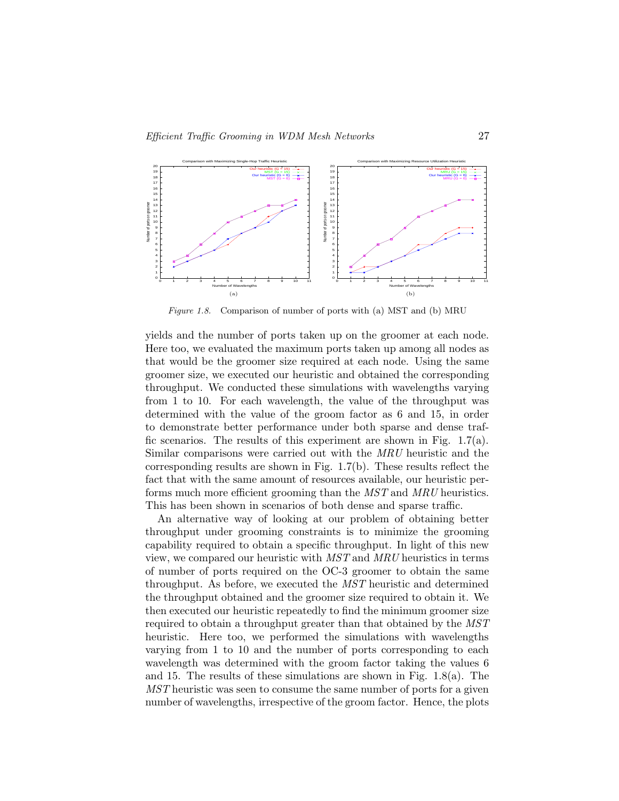

Figure 1.8. Comparison of number of ports with (a) MST and (b) MRU

yields and the number of ports taken up on the groomer at each node. Here too, we evaluated the maximum ports taken up among all nodes as that would be the groomer size required at each node. Using the same groomer size, we executed our heuristic and obtained the corresponding throughput. We conducted these simulations with wavelengths varying from 1 to 10. For each wavelength, the value of the throughput was determined with the value of the groom factor as 6 and 15, in order to demonstrate better performance under both sparse and dense traffic scenarios. The results of this experiment are shown in Fig.  $1.7(a)$ . Similar comparisons were carried out with the MRU heuristic and the corresponding results are shown in Fig. 1.7(b). These results reflect the fact that with the same amount of resources available, our heuristic performs much more efficient grooming than the MST and MRU heuristics. This has been shown in scenarios of both dense and sparse traffic.

An alternative way of looking at our problem of obtaining better throughput under grooming constraints is to minimize the grooming capability required to obtain a specific throughput. In light of this new view, we compared our heuristic with MST and MRU heuristics in terms of number of ports required on the OC-3 groomer to obtain the same throughput. As before, we executed the MST heuristic and determined the throughput obtained and the groomer size required to obtain it. We then executed our heuristic repeatedly to find the minimum groomer size required to obtain a throughput greater than that obtained by the MST heuristic. Here too, we performed the simulations with wavelengths varying from 1 to 10 and the number of ports corresponding to each wavelength was determined with the groom factor taking the values 6 and 15. The results of these simulations are shown in Fig.  $1.8(a)$ . The MST heuristic was seen to consume the same number of ports for a given number of wavelengths, irrespective of the groom factor. Hence, the plots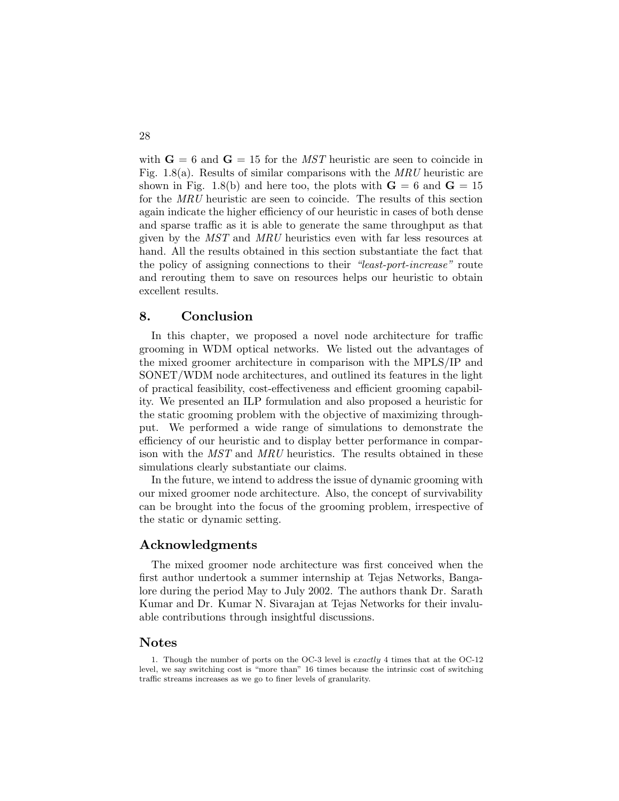with  $G = 6$  and  $G = 15$  for the *MST* heuristic are seen to coincide in Fig. 1.8(a). Results of similar comparisons with the  $MRU$  heuristic are shown in Fig. 1.8(b) and here too, the plots with  $G = 6$  and  $G = 15$ for the MRU heuristic are seen to coincide. The results of this section again indicate the higher efficiency of our heuristic in cases of both dense and sparse traffic as it is able to generate the same throughput as that given by the MST and MRU heuristics even with far less resources at hand. All the results obtained in this section substantiate the fact that the policy of assigning connections to their "least-port-increase" route and rerouting them to save on resources helps our heuristic to obtain excellent results.

## 8. Conclusion

In this chapter, we proposed a novel node architecture for traffic grooming in WDM optical networks. We listed out the advantages of the mixed groomer architecture in comparison with the MPLS/IP and SONET/WDM node architectures, and outlined its features in the light of practical feasibility, cost-effectiveness and efficient grooming capability. We presented an ILP formulation and also proposed a heuristic for the static grooming problem with the objective of maximizing throughput. We performed a wide range of simulations to demonstrate the efficiency of our heuristic and to display better performance in comparison with the MST and MRU heuristics. The results obtained in these simulations clearly substantiate our claims.

In the future, we intend to address the issue of dynamic grooming with our mixed groomer node architecture. Also, the concept of survivability can be brought into the focus of the grooming problem, irrespective of the static or dynamic setting.

## Acknowledgments

The mixed groomer node architecture was first conceived when the first author undertook a summer internship at Tejas Networks, Bangalore during the period May to July 2002. The authors thank Dr. Sarath Kumar and Dr. Kumar N. Sivarajan at Tejas Networks for their invaluable contributions through insightful discussions.

#### Notes

<sup>1.</sup> Though the number of ports on the OC-3 level is exactly 4 times that at the OC-12 level, we say switching cost is "more than" 16 times because the intrinsic cost of switching traffic streams increases as we go to finer levels of granularity.